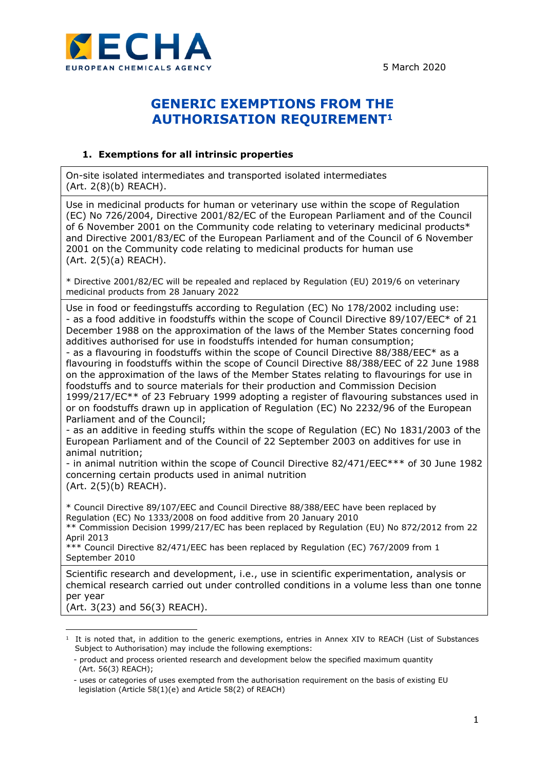

## **GENERIC EXEMPTIONS FROM THE AUTHORISATION REQUIREMENT<sup>1</sup>**

## **1. Exemptions for all intrinsic properties**

On-site isolated intermediates and transported isolated intermediates (Art. 2(8)(b) REACH).

Use in medicinal products for human or veterinary use within the scope of Regulation (EC) No 726/2004, Directive 2001/82/EC of the European Parliament and of the Council of 6 November 2001 on the Community code relating to veterinary medicinal products\* and Directive 2001/83/EC of the European Parliament and of the Council of 6 November 2001 on the Community code relating to medicinal products for human use (Art. 2(5)(a) REACH).

\* Directive 2001/82/EC will be repealed and replaced by Regulation (EU) 2019/6 on veterinary medicinal products from 28 January 2022

Use in food or feedingstuffs according to Regulation (EC) No 178/2002 including use: - as a food additive in foodstuffs within the scope of Council Directive 89/107/EEC\* of 21 December 1988 on the approximation of the laws of the Member States concerning food additives authorised for use in foodstuffs intended for human consumption;

- as a flavouring in foodstuffs within the scope of Council Directive 88/388/EEC\* as a flavouring in foodstuffs within the scope of Council Directive 88/388/EEC of 22 June 1988 on the approximation of the laws of the Member States relating to flavourings for use in foodstuffs and to source materials for their production and Commission Decision 1999/217/EC\*\* of 23 February 1999 adopting a register of flavouring substances used in or on foodstuffs drawn up in application of Regulation (EC) No 2232/96 of the European Parliament and of the Council;

- as an additive in feeding stuffs within the scope of Regulation (EC) No 1831/2003 of the European Parliament and of the Council of 22 September 2003 on additives for use in animal nutrition;

- in animal nutrition within the scope of Council Directive 82/471/EEC\*\*\* of 30 June 1982 concerning certain products used in animal nutrition (Art. 2(5)(b) REACH).

\* Council Directive 89/107/EEC and Council Directive 88/388/EEC have been replaced by Regulation (EC) No 1333/2008 on food additive from 20 January 2010 \*\* Commission Decision 1999/217/EC has been replaced by Regulation (EU) No 872/2012 from 22

April 2013 \*\*\* Council Directive 82/471/EEC has been replaced by Regulation (EC) 767/2009 from 1

September 2010

Scientific research and development, i.e., use in scientific experimentation, analysis or chemical research carried out under controlled conditions in a volume less than one tonne per year

(Art. 3(23) and 56(3) REACH).

<sup>1</sup> It is noted that, in addition to the generic exemptions, entries in Annex XIV to REACH (List of Substances Subject to Authorisation) may include the following exemptions:

 <sup>-</sup> product and process oriented research and development below the specified maximum quantity (Art. 56(3) REACH);

 <sup>-</sup> uses or categories of uses exempted from the authorisation requirement on the basis of existing EU legislation (Article 58(1)(e) and Article 58(2) of REACH)